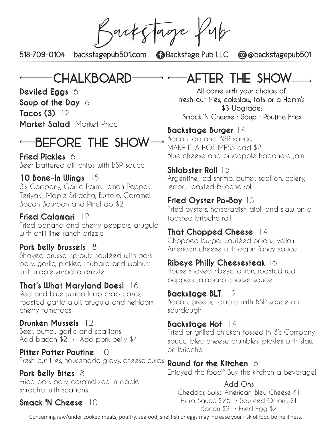BacksTage full

518-709-0104 backstagepub501.com Backstage Pub LLC @@backstagepub501

# CHALKBOARD

**Deviled Eggs** 6

**Soup of the Day** 6

**Tacos (3)** 12

**Market Salad** Market Price

# $BEFORE$  THE SHOW $\rightarrow$

#### **Fried Pickles** 6

Beer battered dill chips with BSP sauce

#### **10 Bone-In Wings** 15

3's Company, Garlic-Parm, Lemon Pepper, Teriyaki, Maple Sriracha, Buffalo, Caramel Bacon Bourbon and PineHab \$2

## **Fried Calamari** 12

Fried banana and cherry peppers, arugula with chili lime ranch drizzle

#### **Pork Belly Brussels** 8

Shaved brussel sprouts sautéed with pork belly, garlic, pickled rhubarb and walnuts with maple sriracha drizzle

## **That's What Maryland Does!** 16

Red and blue jumbo lump crab cakes, roasted garlic aioli, arugula and heirloom cherry tomatoes

## **Drunken Mussels** 12

Beer, butter, garlic and scallions Add bacon \$2 • Add pork belly \$4

#### **Pitter Patter Poutine** 10 Fresh-cut fries, housemade gravy, cheese curds

**Pork Belly Bites** 8 Fried pork belly, caramelized in maple sriracha with scallions

# **Smack 'N Cheese** 10

After the show

All come with your choice of: fresh-cut fries, coleslaw, tots or a Hamm's \$3 Upgrade: Smack 'N Cheese • Soup • Poutine Fries

#### **Backstage Burger** 14 Bacon jam and BSP sauce MAKE IT A HOT MESS add \$2

Blue cheese and pineapple habanero jam

#### **Shlobster Roll** 15

Argentine red shrimp, butter, scallion, celery, lemon, toasted brioche roll

#### **Fried Oyster Po-Boy** 15

Fried oysters, horseradish aioli and slaw on a toasted brioche roll

#### **That Chopped Cheese** 14

Chopped burger, sautéed onions, yellow American cheese with cajun fancy sauce

#### **Ribeye Philly Cheesesteak** 16

House shaved ribeye, onion, roasted red peppers, jalapeño cheese sauce

#### **Backstage BLT** 12

Bacon, greens, tomato with BSP sauce on sourdough

#### **Backstage Hot** 14

Fried or grilled chicken tossed in 3's Company sauce, bleu cheese crumbles, pickles with slaw on brioche

#### **Round for the Kitchen** 6

Enjoyed the food? Buy the kitchen a beverage!

#### Add Ons

Cheddar, Swiss, American, Bleu Cheese \$1 Extra Sauce \$.75 • Sauteed Onions \$1 Bacon \$2 • Fried Egg \$2

Consuming raw/under cooked meats, poultry, seafood, shellfish or eggs may increase your risk of food borne illness.